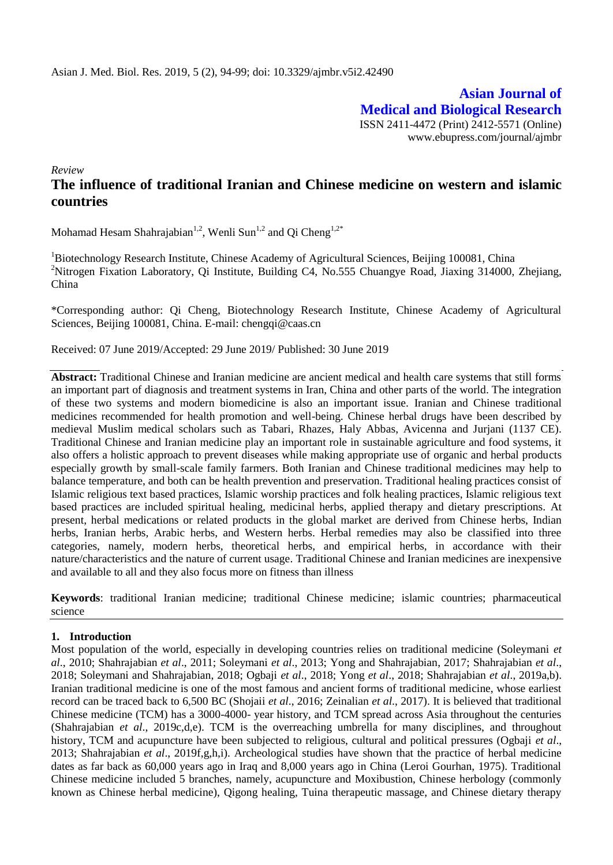**Asian Journal of Medical and Biological Research** ISSN 2411-4472 (Print) 2412-5571 (Online) www.ebupress.com/journal/ajmbr

*Review*

# **The influence of traditional Iranian and Chinese medicine on western and islamic countries**

Mohamad Hesam Shahrajabian<sup>1,2</sup>, Wenli Sun<sup>1,2</sup> and Qi Cheng<sup>1,2\*</sup>

<sup>1</sup>Biotechnology Research Institute, Chinese Academy of Agricultural Sciences, Beijing 100081, China <sup>2</sup>Nitrogen Fixation Laboratory, Qi Institute, Building C4, No.555 Chuangye Road, Jiaxing 314000, Zhejiang, China

\*Corresponding author: Qi Cheng, Biotechnology Research Institute, Chinese Academy of Agricultural Sciences, Beijing 100081, China. E-mail: chengqi@caas.cn

Received: 07 June 2019/Accepted: 29 June 2019/ Published: 30 June 2019

**Abstract:** Traditional Chinese and Iranian medicine are ancient medical and health care systems that still forms an important part of diagnosis and treatment systems in Iran, China and other parts of the world. The integration of these two systems and modern biomedicine is also an important issue. Iranian and Chinese traditional medicines recommended for health promotion and well-being. Chinese herbal drugs have been described by medieval Muslim medical scholars such as Tabari, Rhazes, Haly Abbas, Avicenna and Jurjani (1137 CE). Traditional Chinese and Iranian medicine play an important role in sustainable agriculture and food systems, it also offers a holistic approach to prevent diseases while making appropriate use of organic and herbal products especially growth by small-scale family farmers. Both Iranian and Chinese traditional medicines may help to balance temperature, and both can be health prevention and preservation. Traditional healing practices consist of Islamic religious text based practices, Islamic worship practices and folk healing practices, Islamic religious text based practices are included spiritual healing, medicinal herbs, applied therapy and dietary prescriptions. At present, herbal medications or related products in the global market are derived from Chinese herbs, Indian herbs, Iranian herbs, Arabic herbs, and Western herbs. Herbal remedies may also be classified into three categories, namely, modern herbs, theoretical herbs, and empirical herbs, in accordance with their nature/characteristics and the nature of current usage. Traditional Chinese and Iranian medicines are inexpensive and available to all and they also focus more on fitness than illness

**Keywords**: traditional Iranian medicine; traditional Chinese medicine; islamic countries; pharmaceutical science

## **1. Introduction**

Most population of the world, especially in developing countries relies on traditional medicine (Soleymani *et al*., 2010; Shahrajabian *et al*., 2011; Soleymani *et al*., 2013; Yong and Shahrajabian, 2017; Shahrajabian *et al*., 2018; Soleymani and Shahrajabian, 2018; Ogbaji *et al*., 2018; Yong *et al*., 2018; Shahrajabian *et al*., 2019a,b). Iranian traditional medicine is one of the most famous and ancient forms of traditional medicine, whose earliest record can be traced back to 6,500 BC (Shojaii *et al*., 2016; Zeinalian *et al*., 2017). It is believed that traditional Chinese medicine (TCM) has a 3000-4000- year history, and TCM spread across Asia throughout the centuries (Shahrajabian *et al*., 2019c,d,e). TCM is the overreaching umbrella for many disciplines, and throughout history, TCM and acupuncture have been subjected to religious, cultural and political pressures (Ogbaji *et al*., 2013; Shahrajabian *et al*., 2019f,g,h,i). Archeological studies have shown that the practice of herbal medicine dates as far back as 60,000 years ago in Iraq and 8,000 years ago in China (Leroi Gourhan, 1975). Traditional Chinese medicine included 5 branches, namely, acupuncture and Moxibustion, Chinese herbology (commonly known as Chinese herbal medicine), Qigong healing, Tuina therapeutic massage, and Chinese dietary therapy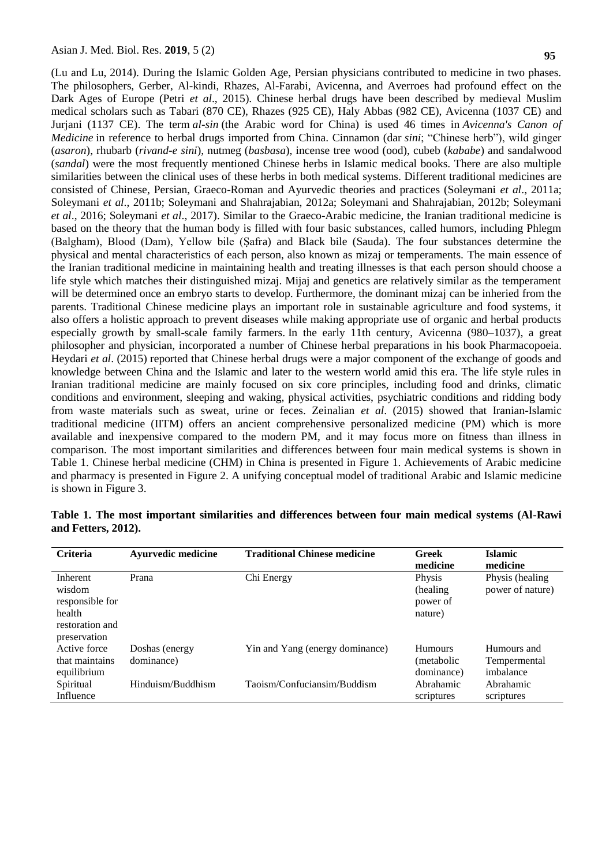(Lu and Lu, 2014). During the Islamic Golden Age, Persian physicians contributed to medicine in two phases. The philosophers, Gerber, Al-kindi, Rhazes, Al-Farabi, Avicenna, and Averroes had profound effect on the Dark Ages of Europe (Petri *et al*., 2015). Chinese herbal drugs have been described by medieval Muslim medical scholars such as Tabari (870 CE), Rhazes (925 CE), Haly Abbas (982 CE), Avicenna (1037 CE) and Jurjani (1137 CE). The term *al-sin* (the Arabic word for China) is used 46 times in *Avicenna's Canon of Medicine* in reference to herbal drugs imported from China. Cinnamon (dar *sini*; "Chinese herb"), wild ginger (*asaron*), rhubarb (*rivand-e sini*), nutmeg (*basbasa*), incense tree wood (ood), cubeb (*kababe*) and sandalwood (*sandal*) were the most frequently mentioned Chinese herbs in Islamic medical books. There are also multiple similarities between the clinical uses of these herbs in both medical systems. Different traditional medicines are consisted of Chinese, Persian, Graeco-Roman and Ayurvedic theories and practices (Soleymani *et al*., 2011a; Soleymani *et al*., 2011b; Soleymani and Shahrajabian, 2012a; Soleymani and Shahrajabian, 2012b; Soleymani *et al*., 2016; Soleymani *et al*., 2017). Similar to the Graeco-Arabic medicine, the Iranian traditional medicine is based on the theory that the human body is filled with four basic substances, called humors, including Phlegm (Balgham), Blood (Dam), Yellow bile (Ṣafra) and Black bile (Sauda). The four substances determine the physical and mental characteristics of each person, also known as mizaj or temperaments. The main essence of the Iranian traditional medicine in maintaining health and treating illnesses is that each person should choose a life style which matches their distinguished mizaj. Mijaj and genetics are relatively similar as the temperament will be determined once an embryo starts to develop. Furthermore, the dominant mizaj can be inheried from the parents. Traditional Chinese medicine plays an important role in sustainable agriculture and food systems, it also offers a holistic approach to prevent diseases while making appropriate use of organic and herbal products especially growth by small-scale family farmers. In the early 11th century, Avicenna (980–1037), a great philosopher and physician, incorporated a number of Chinese herbal preparations in his book Pharmacopoeia. Heydari *et al*. (2015) reported that Chinese herbal drugs were a major component of the exchange of goods and knowledge between China and the Islamic and later to the western world amid this era. The life style rules in Iranian traditional medicine are mainly focused on six core principles, including food and drinks, climatic conditions and environment, sleeping and waking, physical activities, psychiatric conditions and ridding body from waste materials such as sweat, urine or feces. Zeinalian *et al*. (2015) showed that Iranian-Islamic traditional medicine (IITM) offers an ancient comprehensive personalized medicine (PM) which is more available and inexpensive compared to the modern PM, and it may focus more on fitness than illness in comparison. The most important similarities and differences between four main medical systems is shown in Table 1. Chinese herbal medicine (CHM) in China is presented in Figure 1. Achievements of Arabic medicine and pharmacy is presented in Figure 2. A unifying conceptual model of traditional Arabic and Islamic medicine is shown in Figure 3.

| <b>Criteria</b> | <b>Ayurvedic medicine</b> | <b>Traditional Chinese medicine</b> | Greek<br>medicine | <b>Islamic</b><br>medicine |
|-----------------|---------------------------|-------------------------------------|-------------------|----------------------------|
|                 |                           |                                     |                   |                            |
| Inherent        | Prana                     | Chi Energy                          | Physis            | Physis (healing)           |
| wisdom          |                           |                                     | (healing)         | power of nature)           |
| responsible for |                           |                                     | power of          |                            |
| health          |                           |                                     | nature)           |                            |
| restoration and |                           |                                     |                   |                            |
| preservation    |                           |                                     |                   |                            |
| Active force    | Doshas (energy            | Yin and Yang (energy dominance)     | <b>Humours</b>    | Humours and                |
| that maintains  | dominance)                |                                     | (metabolic)       | Tempermental               |
| equilibrium     |                           |                                     | dominance)        | imbalance                  |
| Spiritual       | Hinduism/Buddhism         | Taoism/Confuciansim/Buddism         | Abrahamic         | Abrahamic                  |
| Influence       |                           |                                     | scriptures        | scriptures                 |

| Table 1. The most important similarities and differences between four main medical systems (Al-Rawi |  |  |  |  |  |  |
|-----------------------------------------------------------------------------------------------------|--|--|--|--|--|--|
| and Fetters, 2012).                                                                                 |  |  |  |  |  |  |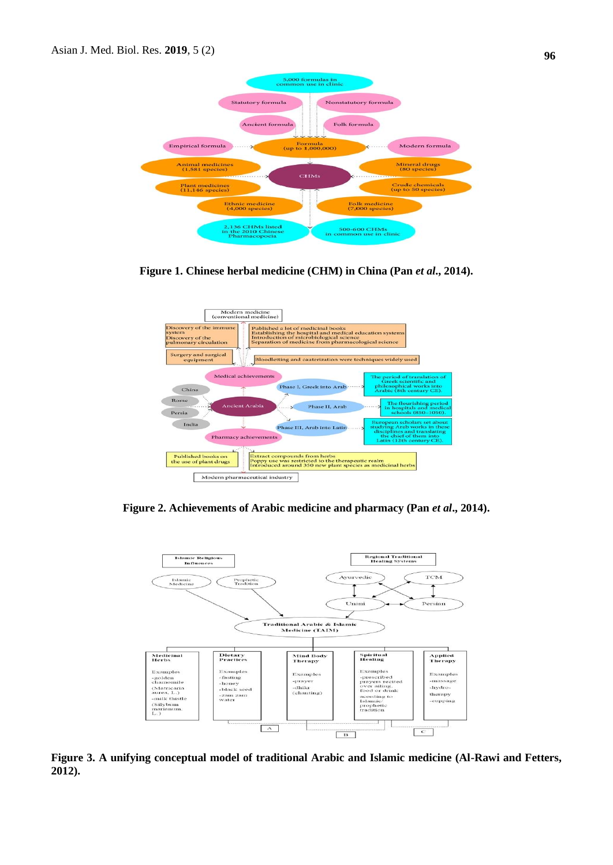

**Figure 1. Chinese herbal medicine (CHM) in China (Pan** *et al***., 2014).**



**Figure 2. Achievements of Arabic medicine and pharmacy (Pan** *et al***., 2014).**



**Figure 3. A unifying conceptual model of traditional Arabic and Islamic medicine (Al-Rawi and Fetters, 2012).**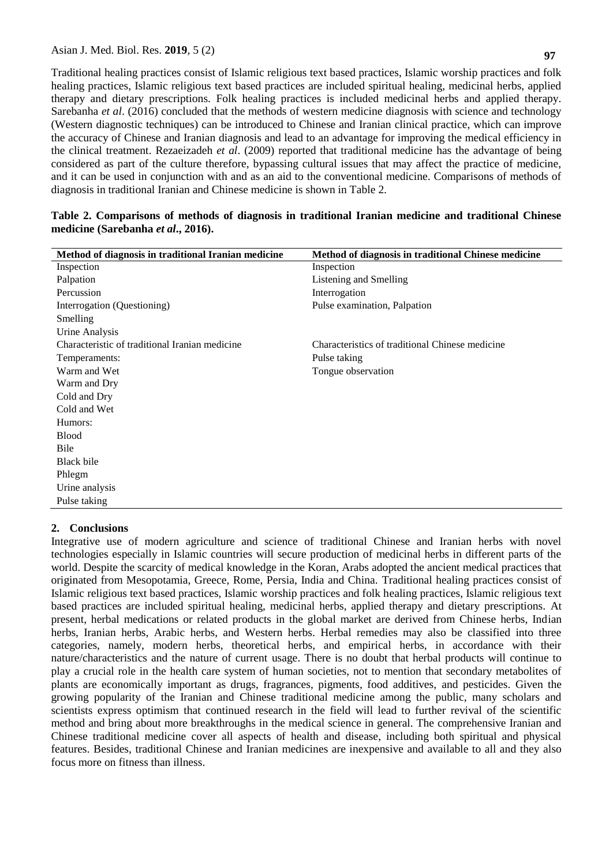### Asian J. Med. Biol. Res. **2019**, 5 (2)

Traditional healing practices consist of Islamic religious text based practices, Islamic worship practices and folk healing practices, Islamic religious text based practices are included spiritual healing, medicinal herbs, applied therapy and dietary prescriptions. Folk healing practices is included medicinal herbs and applied therapy. Sarebanha *et al*. (2016) concluded that the methods of western medicine diagnosis with science and technology (Western diagnostic techniques) can be introduced to Chinese and Iranian clinical practice, which can improve the accuracy of Chinese and Iranian diagnosis and lead to an advantage for improving the medical efficiency in the clinical treatment. Rezaeizadeh *et al*. (2009) reported that traditional medicine has the advantage of being considered as part of the culture therefore, bypassing cultural issues that may affect the practice of medicine, and it can be used in conjunction with and as an aid to the conventional medicine. Comparisons of methods of diagnosis in traditional Iranian and Chinese medicine is shown in Table 2.

| Method of diagnosis in traditional Iranian medicine | Method of diagnosis in traditional Chinese medicine |
|-----------------------------------------------------|-----------------------------------------------------|
| Inspection                                          | Inspection                                          |
| Palpation                                           | Listening and Smelling                              |
| Percussion                                          | Interrogation                                       |
| Interrogation (Questioning)                         | Pulse examination, Palpation                        |
| Smelling                                            |                                                     |
| Urine Analysis                                      |                                                     |
| Characteristic of traditional Iranian medicine      | Characteristics of traditional Chinese medicine     |
| Temperaments:                                       | Pulse taking                                        |
| Warm and Wet                                        | Tongue observation                                  |
| Warm and Dry                                        |                                                     |
| Cold and Dry                                        |                                                     |
| Cold and Wet                                        |                                                     |
| Humors:                                             |                                                     |
| <b>Blood</b>                                        |                                                     |
| Bile                                                |                                                     |
| Black bile                                          |                                                     |
| Phlegm                                              |                                                     |
| Urine analysis                                      |                                                     |
| Pulse taking                                        |                                                     |

| Table 2. Comparisons of methods of diagnosis in traditional Iranian medicine and traditional Chinese |  |  |  |  |  |
|------------------------------------------------------------------------------------------------------|--|--|--|--|--|
| medicine (Sarebanha et al., 2016).                                                                   |  |  |  |  |  |

## **2. Conclusions**

Integrative use of modern agriculture and science of traditional Chinese and Iranian herbs with novel technologies especially in Islamic countries will secure production of medicinal herbs in different parts of the world. Despite the scarcity of medical knowledge in the Koran, Arabs adopted the ancient medical practices that originated from Mesopotamia, Greece, Rome, Persia, India and China. Traditional healing practices consist of Islamic religious text based practices, Islamic worship practices and folk healing practices, Islamic religious text based practices are included spiritual healing, medicinal herbs, applied therapy and dietary prescriptions. At present, herbal medications or related products in the global market are derived from Chinese herbs, Indian herbs, Iranian herbs, Arabic herbs, and Western herbs. Herbal remedies may also be classified into three categories, namely, modern herbs, theoretical herbs, and empirical herbs, in accordance with their nature/characteristics and the nature of current usage. There is no doubt that herbal products will continue to play a crucial role in the health care system of human societies, not to mention that secondary metabolites of plants are economically important as drugs, fragrances, pigments, food additives, and pesticides. Given the growing popularity of the Iranian and Chinese traditional medicine among the public, many scholars and scientists express optimism that continued research in the field will lead to further revival of the scientific method and bring about more breakthroughs in the medical science in general. The comprehensive Iranian and Chinese traditional medicine cover all aspects of health and disease, including both spiritual and physical features. Besides, traditional Chinese and Iranian medicines are inexpensive and available to all and they also focus more on fitness than illness.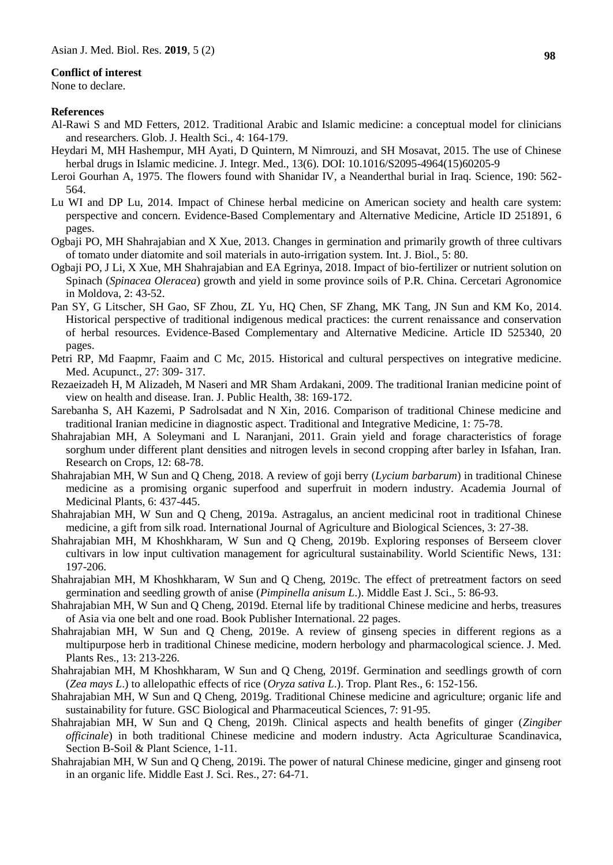#### **Conflict of interest**

None to declare.

#### **References**

- Al-Rawi S and MD Fetters, 2012. Traditional Arabic and Islamic medicine: a conceptual model for clinicians and researchers. Glob. J. Health Sci., 4: 164-179.
- Heydari M, MH Hashempur, MH Ayati, D Quintern, M Nimrouzi, and SH Mosavat, 2015. The use of Chinese herbal drugs in Islamic medicine. J. Integr. Med., 13(6). DOI: 10.1016/S2095-4964(15)60205-9
- Leroi Gourhan A, 1975. The flowers found with Shanidar IV, a Neanderthal burial in Iraq. Science, 190: 562- 564.
- Lu WI and DP Lu, 2014. Impact of Chinese herbal medicine on American society and health care system: perspective and concern. Evidence-Based Complementary and Alternative Medicine, Article ID 251891, 6 pages.
- Ogbaji PO, MH Shahrajabian and X Xue, 2013. Changes in germination and primarily growth of three cultivars of tomato under diatomite and soil materials in auto-irrigation system. Int. J. Biol., 5: 80.
- Ogbaji PO, J Li, X Xue, MH Shahrajabian and EA Egrinya, 2018. Impact of bio-fertilizer or nutrient solution on Spinach (*Spinacea Oleracea*) growth and yield in some province soils of P.R. China. Cercetari Agronomice in Moldova, 2: 43-52.
- Pan SY, G Litscher, SH Gao, SF Zhou, ZL Yu, HQ Chen, SF Zhang, MK Tang, JN Sun and KM Ko, 2014. Historical perspective of traditional indigenous medical practices: the current renaissance and conservation of herbal resources. Evidence-Based Complementary and Alternative Medicine. Article ID 525340, 20 pages.
- Petri RP, Md Faapmr, Faaim and C Mc, 2015. Historical and cultural perspectives on integrative medicine. Med. Acupunct., 27: 309- 317.
- Rezaeizadeh H, M Alizadeh, M Naseri and MR Sham Ardakani, 2009. The traditional Iranian medicine point of view on health and disease. Iran. J. Public Health, 38: 169-172.
- Sarebanha S, AH Kazemi, P Sadrolsadat and N Xin, 2016. Comparison of traditional Chinese medicine and traditional Iranian medicine in diagnostic aspect. Traditional and Integrative Medicine, 1: 75-78.
- Shahrajabian MH, A Soleymani and L Naranjani, 2011. Grain yield and forage characteristics of forage sorghum under different plant densities and nitrogen levels in second cropping after barley in Isfahan, Iran. Research on Crops, 12: 68-78.
- Shahrajabian MH, W Sun and Q Cheng, 2018. A review of goji berry (*Lycium barbarum*) in traditional Chinese medicine as a promising organic superfood and superfruit in modern industry. Academia Journal of Medicinal Plants, 6: 437-445.
- Shahrajabian MH, W Sun and Q Cheng, 2019a. Astragalus, an ancient medicinal root in traditional Chinese medicine, a gift from silk road. International Journal of Agriculture and Biological Sciences, 3: 27-38.
- Shahrajabian MH, M Khoshkharam, W Sun and Q Cheng, 2019b. Exploring responses of Berseem clover cultivars in low input cultivation management for agricultural sustainability. World Scientific News, 131: 197-206.
- Shahrajabian MH, M Khoshkharam, W Sun and Q Cheng, 2019c. The effect of pretreatment factors on seed germination and seedling growth of anise (*Pimpinella anisum L*.). Middle East J. Sci., 5: 86-93.
- Shahrajabian MH, W Sun and Q Cheng, 2019d. Eternal life by traditional Chinese medicine and herbs, treasures of Asia via one belt and one road. Book Publisher International. 22 pages.
- Shahrajabian MH, W Sun and Q Cheng, 2019e. A review of ginseng species in different regions as a multipurpose herb in traditional Chinese medicine, modern herbology and pharmacological science. J. Med. Plants Res., 13: 213-226.
- Shahrajabian MH, M Khoshkharam, W Sun and Q Cheng, 2019f. Germination and seedlings growth of corn (*Zea mays L*.) to allelopathic effects of rice (*Oryza sativa L*.). Trop. Plant Res., 6: 152-156.
- Shahrajabian MH, W Sun and Q Cheng, 2019g. Traditional Chinese medicine and agriculture; organic life and sustainability for future. GSC Biological and Pharmaceutical Sciences, 7: 91-95.
- Shahrajabian MH, W Sun and Q Cheng, 2019h. Clinical aspects and health benefits of ginger (*Zingiber officinale*) in both traditional Chinese medicine and modern industry. Acta Agriculturae Scandinavica, Section B-Soil & Plant Science, 1-11.
- Shahrajabian MH, W Sun and Q Cheng, 2019i. The power of natural Chinese medicine, ginger and ginseng root in an organic life. Middle East J. Sci. Res., 27: 64-71.